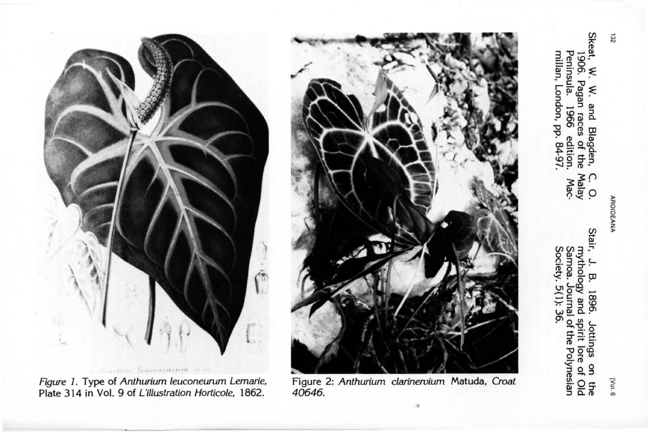

- Skeat, W.<br>1906. millan, London, pp. 84-97 Peninsula. ≶ N. W. and Blagden,<br>5. Pagan races of the<br>nsula. 1966 edition.<br>an, London, pp. 84-97. C. O.<br>Malay<br>Mac-
- Stair, bue vgolodym Society. 5(1): 36 Samoa. Journal of the Polynesian ä 1896. . Jottings on<br>I spirit lore of  $\frac{1}{2}$ the



40646.



Figure 1. Type of Anthurium leuconeurum Lemarie, Plate 314 in Vol. 9 of L'illustration Horticole, 1862.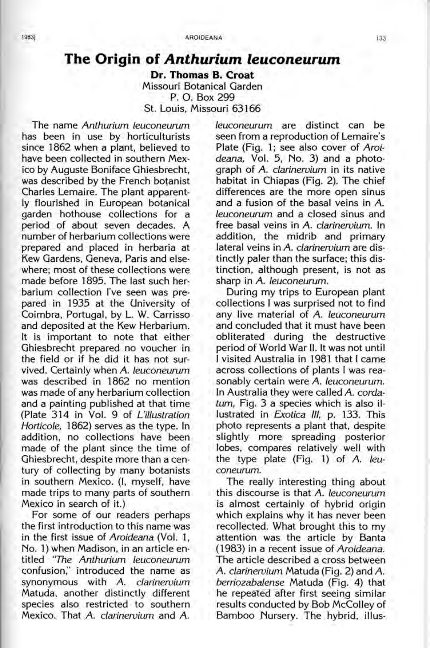## **The Origin of** *Anthurium leuconeurum*

**Dr. Thomas B. Croat**  Missouri Botanical Garden P. O. Box 299 St. Louis, Missouri 63166

The name Anthurium leuconeurum has been in use by horticulturists since 1862 when a plant, believed to have been collected in southern Mexico by Auguste Boniface Ghiesbrecht, was described by the French botanist Charles Lemaire. The plant apparently flourished in European botanical garden hothouse collections for a period of about seven decades. A number of herbarium collections were prepared and placed in herbaria at Kew Gardens, Geneva, Paris and elsewhere; most of these collections were made before 1895. The last such herbarium collection I've seen was prepared in 1935 at the University of Coimbra, Portugal, by L. W. Carrisso and deposited at the Kew Herbarium. It is important to note that either Ghiesbrecht prepared no voucher in the field or if he did it has not survived. Certainly when A. leuconeurum was described in 1862 no mention was made of any herbarium collection and a painting published at that time (Plate 314 in Vol. 9 of L'illustration Horticole, 1862) serves as the type. In addition, no collections have been made of the plant since the time of Ghiesbrecht, despite more than a century of collecting by many botanists in southern Mexico. (I, myself, have made trips to many parts of southern Mexico in search of it.)

For some of our readers perhaps the first introduction to this name was in the first issue of Aroideana (Vol. 1, No.1) when Madison, in an article entitled "The Anthurium leuconeurum confusion;' introduced the name as synonymous with A. clarinervium Matuda, another distinctly different species also restricted to southern Mexico. That A. clarinervium and A. leuconeurum are distinct can be seen from a reproduction of Lemaire's Plate (Fig. 1; see also cover of Aroideana, Vol. 5, No. 3) and a photograph of A. clarinervium in its native habitat in Chiapas (Fig. 2). The chief differences are the more open sinus and a fusion of the basal veins in A. leuconeurum and a closed sinus and free basal veins in A. clarinervium. In addition, the midrib and primary lateral veins in A. clarinervium are distinctly paler than the surface; this distinction, although present, is not as sharp in A. leuconeurum.

During my trips to European plant collections I was surprised not to find any live material of A. leuconeurum and concluded that it must have been obliterated during the destructive period of World War II. It was not until I visited Australia in 1981 that I came across collections of plants I was reasonably certain were A. leuconeurum. In Australia they were called A. cordatum, Fig. 3 a species which is also illustrated in Exotica III, p. 133. This photo represents a plant that, despite slightly more spreading posterior lobes, compares relatively well with the type plate (Fig. 1) of A. leuconeurum.

The really interesting thing about this discourse is that A. leuconeurum is almost certainly of hybrid origin which explains why it has never been recollected. What brought this to my attention was the article by Banta (1983) in a recent issue of Aroideana. The article described a cross between A. clarinervium Matuda (Fig. 2) and A. berriozabalense Matuda (Fig. 4) that he repeated after first seeing similar results conducted by Bob McColley of Bamboo Nursery. The hybrid, illus